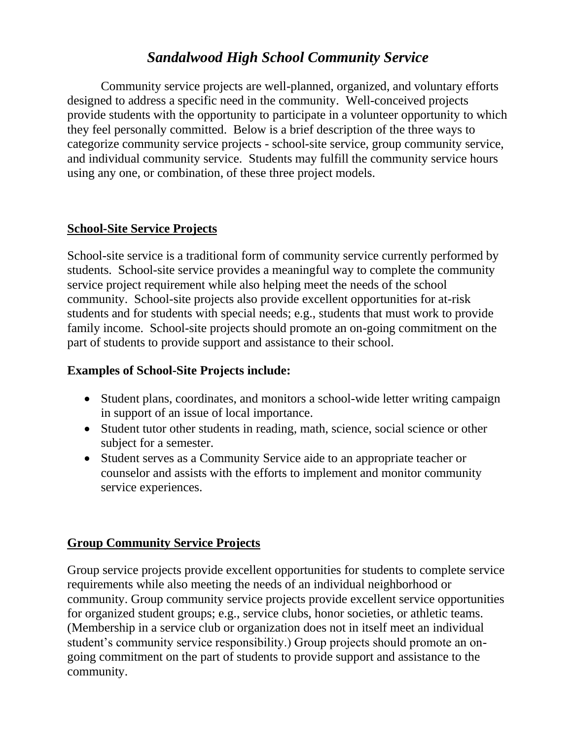## *Sandalwood High School Community Service*

Community service projects are well-planned, organized, and voluntary efforts designed to address a specific need in the community. Well-conceived projects provide students with the opportunity to participate in a volunteer opportunity to which they feel personally committed. Below is a brief description of the three ways to categorize community service projects - school-site service, group community service, and individual community service. Students may fulfill the community service hours using any one, or combination, of these three project models.

#### **School-Site Service Projects**

School-site service is a traditional form of community service currently performed by students. School-site service provides a meaningful way to complete the community service project requirement while also helping meet the needs of the school community. School-site projects also provide excellent opportunities for at-risk students and for students with special needs; e.g., students that must work to provide family income. School-site projects should promote an on-going commitment on the part of students to provide support and assistance to their school.

#### **Examples of School-Site Projects include:**

- Student plans, coordinates, and monitors a school-wide letter writing campaign in support of an issue of local importance.
- Student tutor other students in reading, math, science, social science or other subject for a semester.
- Student serves as a Community Service aide to an appropriate teacher or counselor and assists with the efforts to implement and monitor community service experiences.

### **Group Community Service Projects**

Group service projects provide excellent opportunities for students to complete service requirements while also meeting the needs of an individual neighborhood or community. Group community service projects provide excellent service opportunities for organized student groups; e.g., service clubs, honor societies, or athletic teams. (Membership in a service club or organization does not in itself meet an individual student's community service responsibility.) Group projects should promote an ongoing commitment on the part of students to provide support and assistance to the community.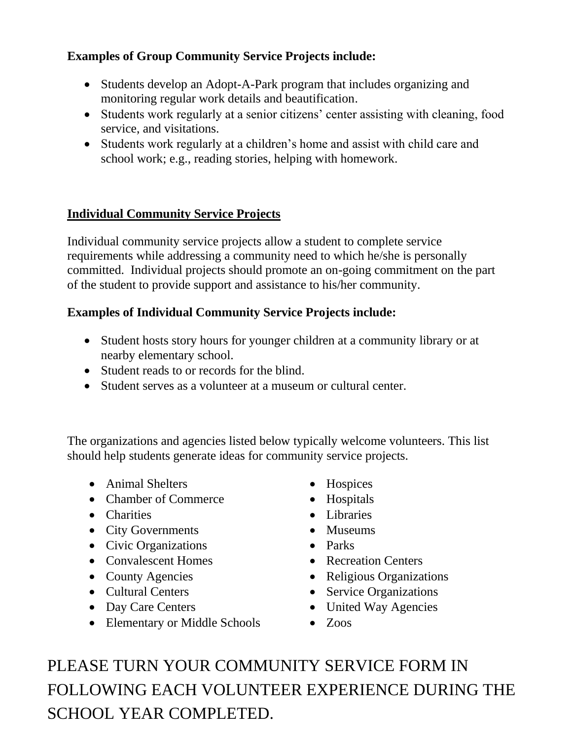### **Examples of Group Community Service Projects include:**

- Students develop an Adopt-A-Park program that includes organizing and monitoring regular work details and beautification.
- Students work regularly at a senior citizens' center assisting with cleaning, food service, and visitations.
- Students work regularly at a children's home and assist with child care and school work; e.g., reading stories, helping with homework.

### **Individual Community Service Projects**

Individual community service projects allow a student to complete service requirements while addressing a community need to which he/she is personally committed. Individual projects should promote an on-going commitment on the part of the student to provide support and assistance to his/her community.

### **Examples of Individual Community Service Projects include:**

- Student hosts story hours for younger children at a community library or at nearby elementary school.
- Student reads to or records for the blind.
- Student serves as a volunteer at a museum or cultural center.

The organizations and agencies listed below typically welcome volunteers. This list should help students generate ideas for community service projects.

- Animal Shelters
- Chamber of Commerce
- Charities
- City Governments
- Civic Organizations
- Convalescent Homes
- County Agencies
- Cultural Centers
- Day Care Centers
- Elementary or Middle Schools
- Hospices
- Hospitals
- Libraries
- Museums
- Parks
- Recreation Centers
- Religious Organizations
- Service Organizations
- United Way Agencies
	- $\bullet$  Zoos

PLEASE TURN YOUR COMMUNITY SERVICE FORM IN FOLLOWING EACH VOLUNTEER EXPERIENCE DURING THE SCHOOL YEAR COMPLETED.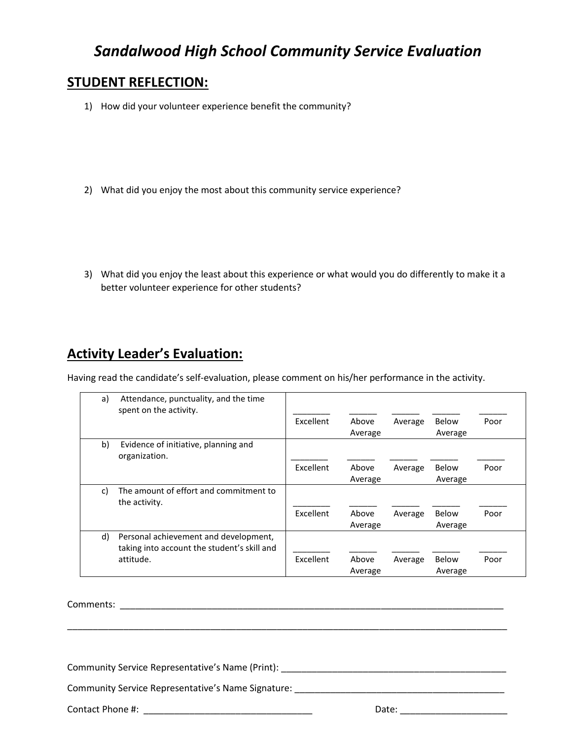## *Sandalwood High School Community Service Evaluation*

#### **STUDENT REFLECTION:**

- 1) How did your volunteer experience benefit the community?
- 2) What did you enjoy the most about this community service experience?
- 3) What did you enjoy the least about this experience or what would you do differently to make it a better volunteer experience for other students?

## **Activity Leader's Evaluation:**

Having read the candidate's self-evaluation, please comment on his/her performance in the activity.

| a) | Attendance, punctuality, and the time<br>spent on the activity.                      |                  |                  |         |                  |      |
|----|--------------------------------------------------------------------------------------|------------------|------------------|---------|------------------|------|
|    |                                                                                      | Excellent        | Above            | Average | Below            | Poor |
|    |                                                                                      |                  | Average          |         | Average          |      |
| b) | Evidence of initiative, planning and<br>organization.                                |                  |                  |         |                  |      |
|    |                                                                                      | Excellent        | Above            | Average | Below            | Poor |
|    |                                                                                      |                  | Average          |         | Average          |      |
| c) | The amount of effort and commitment to<br>the activity.                              |                  |                  |         |                  |      |
|    |                                                                                      | Excellent        | Above<br>Average | Average | Below<br>Average | Poor |
| d) | Personal achievement and development,<br>taking into account the student's skill and |                  |                  |         |                  |      |
|    | attitude.                                                                            | <b>Excellent</b> | Above<br>Average | Average | Below<br>Average | Poor |

\_\_\_\_\_\_\_\_\_\_\_\_\_\_\_\_\_\_\_\_\_\_\_\_\_\_\_\_\_\_\_\_\_\_\_\_\_\_\_\_\_\_\_\_\_\_\_\_\_\_\_\_\_\_\_\_\_\_\_\_\_\_\_\_\_\_\_\_\_\_\_\_\_\_\_\_\_\_\_\_\_\_\_\_\_\_

Comments: \_\_\_\_\_\_\_\_\_\_\_\_\_\_\_\_\_\_\_\_\_\_\_\_\_\_\_\_\_\_\_\_\_\_\_\_\_\_\_\_\_\_\_\_\_\_\_\_\_\_\_\_\_\_\_\_\_\_\_\_\_\_\_\_\_\_\_\_\_\_\_\_\_\_\_

Community Service Representative's Name (Print): \_\_\_\_\_\_\_\_\_\_\_\_\_\_\_\_\_\_\_\_\_\_\_\_\_\_\_\_\_\_\_

Community Service Representative's Name Signature:

Contact Phone #: \_\_\_\_\_\_\_\_\_\_\_\_\_\_\_\_\_\_\_\_\_\_\_\_\_\_\_\_\_\_\_\_\_ Date: \_\_\_\_\_\_\_\_\_\_\_\_\_\_\_\_\_\_\_\_\_